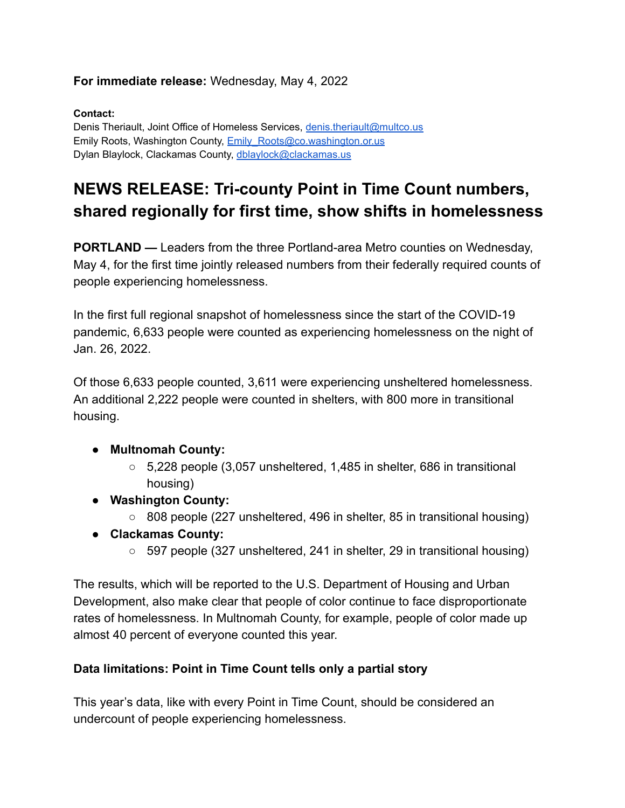### **For immediate release:** Wednesday, May 4, 2022

#### **Contact:**

Denis Theriault, Joint Office of Homeless Services, [denis.theriault@multco.us](mailto:denis.theriault@multco.us) Emily Roots, Washington County, Emily Roots@co.washington.or.us Dylan Blaylock, Clackamas County, [dblaylock@clackamas.us](mailto:dblaylock@clackamas.us)

# **NEWS RELEASE: Tri-county Point in Time Count numbers, shared regionally for first time, show shifts in homelessness**

**PORTLAND —** Leaders from the three Portland-area Metro counties on Wednesday, May 4, for the first time jointly released numbers from their federally required counts of people experiencing homelessness.

In the first full regional snapshot of homelessness since the start of the COVID-19 pandemic, 6,633 people were counted as experiencing homelessness on the night of Jan. 26, 2022.

Of those 6,633 people counted, 3,611 were experiencing unsheltered homelessness. An additional 2,222 people were counted in shelters, with 800 more in transitional housing.

#### **● Multnomah County:**

- $\circ$  5,228 people (3,057 unsheltered, 1,485 in shelter, 686 in transitional housing)
- **● Washington County:**
	- 808 people (227 unsheltered, 496 in shelter, 85 in transitional housing)
- **● Clackamas County:**
	- 597 people (327 unsheltered, 241 in shelter, 29 in transitional housing)

The results, which will be reported to the U.S. Department of Housing and Urban Development, also make clear that people of color continue to face disproportionate rates of homelessness. In Multnomah County, for example, people of color made up almost 40 percent of everyone counted this year.

#### **Data limitations: Point in Time Count tells only a partial story**

This year's data, like with every Point in Time Count, should be considered an undercount of people experiencing homelessness.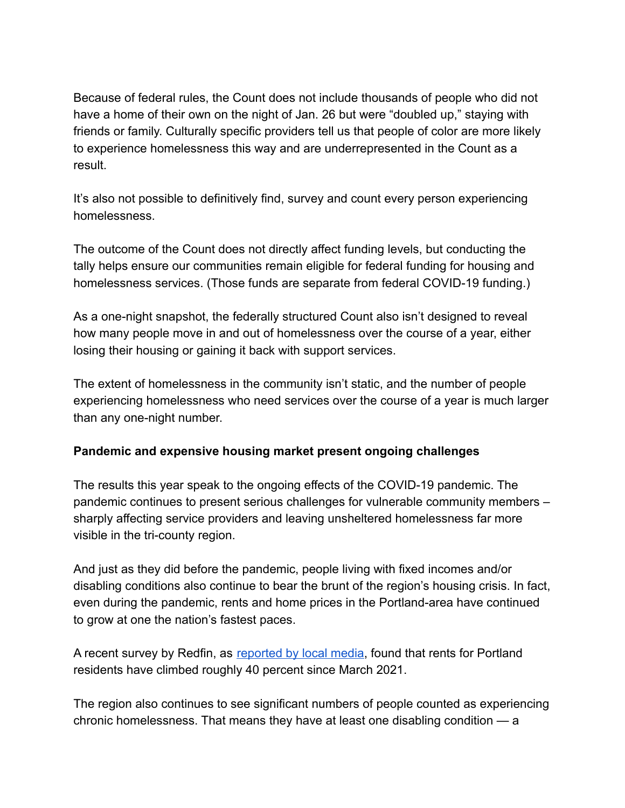Because of federal rules, the Count does not include thousands of people who did not have a home of their own on the night of Jan. 26 but were "doubled up," staying with friends or family. Culturally specific providers tell us that people of color are more likely to experience homelessness this way and are underrepresented in the Count as a result.

It's also not possible to definitively find, survey and count every person experiencing homelessness.

The outcome of the Count does not directly affect funding levels, but conducting the tally helps ensure our communities remain eligible for federal funding for housing and homelessness services. (Those funds are separate from federal COVID-19 funding.)

As a one-night snapshot, the federally structured Count also isn't designed to reveal how many people move in and out of homelessness over the course of a year, either losing their housing or gaining it back with support services.

The extent of homelessness in the community isn't static, and the number of people experiencing homelessness who need services over the course of a year is much larger than any one-night number.

#### **Pandemic and expensive housing market present ongoing challenges**

The results this year speak to the ongoing effects of the COVID-19 pandemic. The pandemic continues to present serious challenges for vulnerable community members – sharply affecting service providers and leaving unsheltered homelessness far more visible in the tri-county region.

And just as they did before the pandemic, people living with fixed incomes and/or disabling conditions also continue to bear the brunt of the region's housing crisis. In fact, even during the pandemic, rents and home prices in the Portland-area have continued to grow at one the nation's fastest paces.

A recent survey by Redfin, as [reported by local media,](https://www.kptv.com/2022/04/21/new-redfin-survey-finds-portland-rents-increased-by-40-last-year/) found that rents for Portland residents have climbed roughly 40 percent since March 2021.

The region also continues to see significant numbers of people counted as experiencing chronic homelessness. That means they have at least one disabling condition — a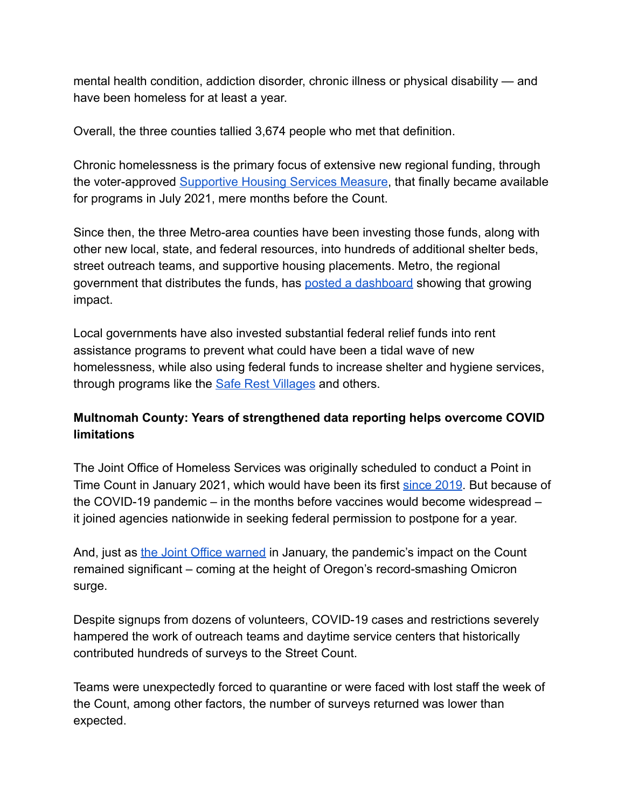mental health condition, addiction disorder, chronic illness or physical disability — and have been homeless for at least a year.

Overall, the three counties tallied 3,674 people who met that definition.

Chronic homelessness is the primary focus of extensive new regional funding, through the voter-approved [Supportive Housing Services Measure](https://www.oregonmetro.gov/public-projects/supportive-housing-services), that finally became available for programs in July 2021, mere months before the Count.

Since then, the three Metro-area counties have been investing those funds, along with other new local, state, and federal resources, into hundreds of additional shelter beds, street outreach teams, and supportive housing placements. Metro, the regional government that distributes the funds, has posted [a dashboard](https://www.oregonmetro.gov/public-projects/supportive-housing-services/progress) showing that growing impact.

Local governments have also invested substantial federal relief funds into rent assistance programs to prevent what could have been a tidal wave of new homelessness, while also using federal funds to increase shelter and hygiene services, through programs like the **[Safe Rest Villages](https://www.portland.gov/ryan/safe-rest-villages)** and others.

## **Multnomah County: Years of strengthened data reporting helps overcome COVID limitations**

The Joint Office of Homeless Services was originally scheduled to conduct a Point in Time Count in January 2021, which would have been its first [since 2019](https://www.multco.us/2019-point-time-count-report). But because of the COVID-19 pandemic – in the months before vaccines would become widespread – it joined agencies nationwide in seeking federal permission to postpone for a year.

And, just as [the Joint Office warned](https://www.multco.us/multnomah-county/news/news-release-first-point-time-count-2019-kicks-tonight-strong-support) in January, the pandemic's impact on the Count remained significant – coming at the height of Oregon's record-smashing Omicron surge.

Despite signups from dozens of volunteers, COVID-19 cases and restrictions severely hampered the work of outreach teams and daytime service centers that historically contributed hundreds of surveys to the Street Count.

Teams were unexpectedly forced to quarantine or were faced with lost staff the week of the Count, among other factors, the number of surveys returned was lower than expected.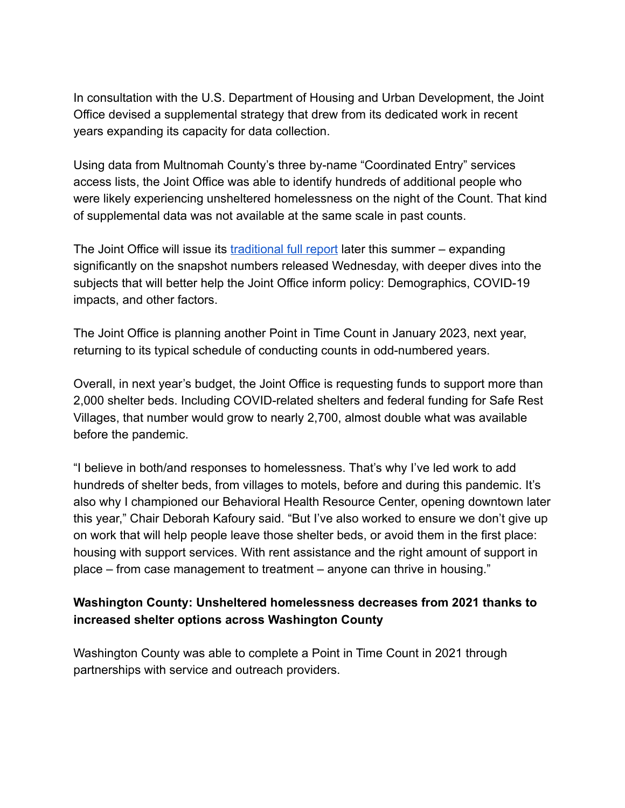In consultation with the U.S. Department of Housing and Urban Development, the Joint Office devised a supplemental strategy that drew from its dedicated work in recent years expanding its capacity for data collection.

Using data from Multnomah County's three by-name "Coordinated Entry" services access lists, the Joint Office was able to identify hundreds of additional people who were likely experiencing unsheltered homelessness on the night of the Count. That kind of supplemental data was not available at the same scale in past counts.

The Joint Office will issue its [traditional full report](https://www.multco.us/johs/point-time-counts) later this summer – expanding significantly on the snapshot numbers released Wednesday, with deeper dives into the subjects that will better help the Joint Office inform policy: Demographics, COVID-19 impacts, and other factors.

The Joint Office is planning another Point in Time Count in January 2023, next year, returning to its typical schedule of conducting counts in odd-numbered years.

Overall, in next year's budget, the Joint Office is requesting funds to support more than 2,000 shelter beds. Including COVID-related shelters and federal funding for Safe Rest Villages, that number would grow to nearly 2,700, almost double what was available before the pandemic.

"I believe in both/and responses to homelessness. That's why I've led work to add hundreds of shelter beds, from villages to motels, before and during this pandemic. It's also why I championed our Behavioral Health Resource Center, opening downtown later this year," Chair Deborah Kafoury said. "But I've also worked to ensure we don't give up on work that will help people leave those shelter beds, or avoid them in the first place: housing with support services. With rent assistance and the right amount of support in place – from case management to treatment – anyone can thrive in housing."

## **Washington County: Unsheltered homelessness decreases from 2021 thanks to increased shelter options across Washington County**

Washington County was able to complete a Point in Time Count in 2021 through partnerships with service and outreach providers.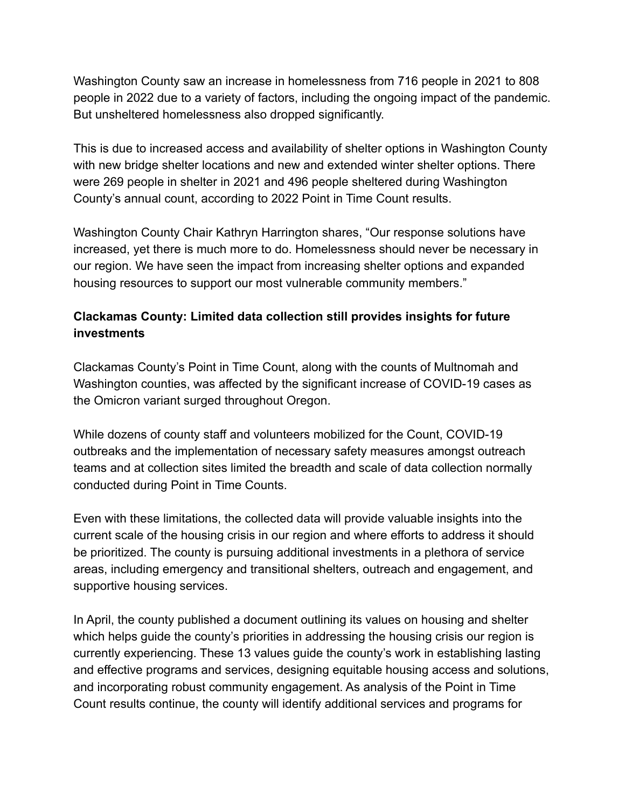Washington County saw an increase in homelessness from 716 people in 2021 to 808 people in 2022 due to a variety of factors, including the ongoing impact of the pandemic. But unsheltered homelessness also dropped significantly.

This is due to increased access and availability of shelter options in Washington County with new bridge shelter locations and new and extended winter shelter options. There were 269 people in shelter in 2021 and 496 people sheltered during Washington County's annual count, according to 2022 Point in Time Count results.

Washington County Chair Kathryn Harrington shares, "Our response solutions have increased, yet there is much more to do. Homelessness should never be necessary in our region. We have seen the impact from increasing shelter options and expanded housing resources to support our most vulnerable community members."

## **Clackamas County: Limited data collection still provides insights for future investments**

Clackamas County's Point in Time Count, along with the counts of Multnomah and Washington counties, was affected by the significant increase of COVID-19 cases as the Omicron variant surged throughout Oregon.

While dozens of county staff and volunteers mobilized for the Count, COVID-19 outbreaks and the implementation of necessary safety measures amongst outreach teams and at collection sites limited the breadth and scale of data collection normally conducted during Point in Time Counts.

Even with these limitations, the collected data will provide valuable insights into the current scale of the housing crisis in our region and where efforts to address it should be prioritized. The county is pursuing additional investments in a plethora of service areas, including emergency and transitional shelters, outreach and engagement, and supportive housing services.

In April, the county published a document outlining its values on housing and shelter which helps guide the county's priorities in addressing the housing crisis our region is currently experiencing. These 13 values guide the county's work in establishing lasting and effective programs and services, designing equitable housing access and solutions, and incorporating robust community engagement. As analysis of the Point in Time Count results continue, the county will identify additional services and programs for